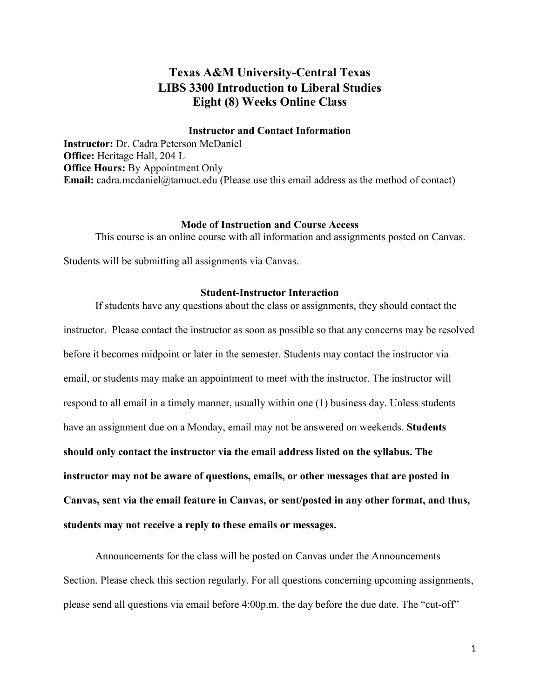## **Texas A&M University-Central Texas LIBS 3300 Introduction to Liberal Studies Eight (8) Weeks Online Class**

## **Instructor and Contact Information**

**Instructor:** Dr. Cadra Peterson McDaniel **Office:** Heritage Hall, 204 L **Office Hours:** By Appointment Only **Email:** cadra.mcdaniel@tamuct.edu (Please use this email address as the method of contact)

### **Mode of Instruction and Course Access**

This course is an online course with all information and assignments posted on Canvas.

Students will be submitting all assignments via Canvas.

## **Student-Instructor Interaction**

If students have any questions about the class or assignments, they should contact the instructor. Please contact the instructor as soon as possible so that any concerns may be resolved before it becomes midpoint or later in the semester. Students may contact the instructor via email, or students may make an appointment to meet with the instructor. The instructor will respond to all email in a timely manner, usually within one (1) business day. Unless students have an assignment due on a Monday, email may not be answered on weekends. **Students should only contact the instructor via the email address listed on the syllabus. The instructor may not be aware of questions, emails, or other messages that are posted in Canvas, sent via the email feature in Canvas, or sent/posted in any other format, and thus, students may not receive a reply to these emails or messages.** 

Announcements for the class will be posted on Canvas under the Announcements Section. Please check this section regularly. For all questions concerning upcoming assignments, please send all questions via email before 4:00p.m. the day before the due date. The "cut-off"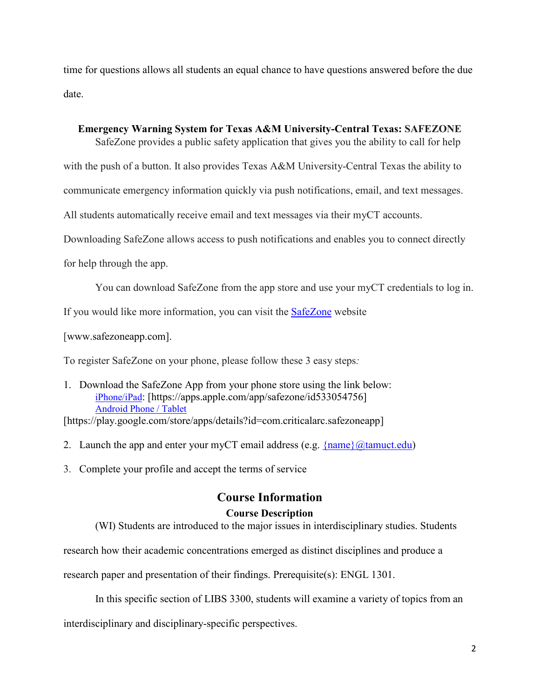time for questions allows all students an equal chance to have questions answered before the due date.

## **Emergency Warning System for Texas A&M University-Central Texas: SAFEZONE**

SafeZone provides a public safety application that gives you the ability to call for help

with the push of a button. It also provides Texas A&M University-Central Texas the ability to

communicate emergency information quickly via push notifications, email, and text messages.

All students automatically receive email and text messages via their myCT accounts.

Downloading SafeZone allows access to push notifications and enables you to connect directly

for help through the app.

You can download SafeZone from the app store and use your myCT credentials to log in.

If you would like more information, you can visit the [SafeZone](http://www.safezoneapp.com/) website

[www.safezoneapp.com].

To register SafeZone on your phone, please follow these 3 easy steps*:*

1. Download the SafeZone App from your phone store using the link below: [iPhone/iPad:](https://apps.apple.com/app/safezone/id533054756) [https://apps.apple.com/app/safezone/id533054756] [Android Phone / Tablet](https://play.google.com/store/apps/details?id=com.criticalarc.safezoneapp) [https://play.google.com/store/apps/details?id=com.criticalarc.safezoneapp]

2. Launch the app and enter your myCT email address (e.g.  $\{\text{name}\}\langle\omega\text{tamuct.edu}\rangle$ )

3. Complete your profile and accept the terms of service

# **Course Information Course Description**

(WI) Students are introduced to the major issues in interdisciplinary studies. Students

research how their academic concentrations emerged as distinct disciplines and produce a

research paper and presentation of their findings. Prerequisite(s): ENGL 1301.

In this specific section of LIBS 3300, students will examine a variety of topics from an

interdisciplinary and disciplinary-specific perspectives.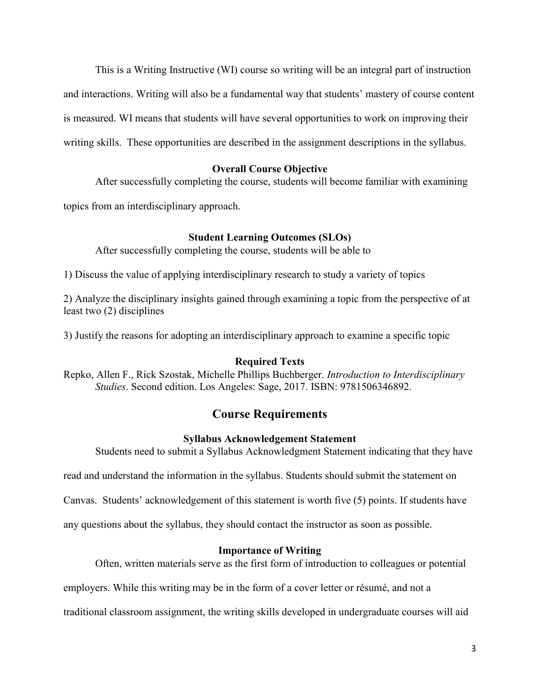This is a Writing Instructive (WI) course so writing will be an integral part of instruction and interactions. Writing will also be a fundamental way that students' mastery of course content is measured. WI means that students will have several opportunities to work on improving their writing skills. These opportunities are described in the assignment descriptions in the syllabus.

## **Overall Course Objective**

After successfully completing the course, students will become familiar with examining

topics from an interdisciplinary approach.

### **Student Learning Outcomes (SLOs)**

After successfully completing the course, students will be able to

1) Discuss the value of applying interdisciplinary research to study a variety of topics

2) Analyze the disciplinary insights gained through examining a topic from the perspective of at least two (2) disciplines

3) Justify the reasons for adopting an interdisciplinary approach to examine a specific topic

### **Required Texts**

Repko, Allen F., Rick Szostak, Michelle Phillips Buchberger. *Introduction to Interdisciplinary Studies*. Second edition. Los Angeles: Sage, 2017. ISBN: 9781506346892.

## **Course Requirements**

## **Syllabus Acknowledgement Statement**

Students need to submit a Syllabus Acknowledgment Statement indicating that they have

read and understand the information in the syllabus. Students should submit the statement on

Canvas. Students' acknowledgement of this statement is worth five (5) points. If students have

any questions about the syllabus, they should contact the instructor as soon as possible.

### **Importance of Writing**

Often, written materials serve as the first form of introduction to colleagues or potential

employers. While this writing may be in the form of a cover letter or résumé, and not a

traditional classroom assignment, the writing skills developed in undergraduate courses will aid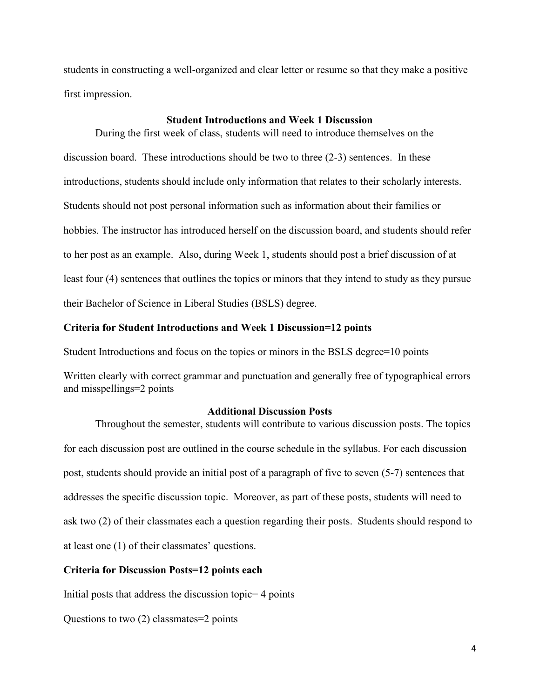students in constructing a well-organized and clear letter or resume so that they make a positive first impression.

### **Student Introductions and Week 1 Discussion**

During the first week of class, students will need to introduce themselves on the discussion board. These introductions should be two to three (2-3) sentences. In these introductions, students should include only information that relates to their scholarly interests. Students should not post personal information such as information about their families or hobbies. The instructor has introduced herself on the discussion board, and students should refer to her post as an example. Also, during Week 1, students should post a brief discussion of at least four (4) sentences that outlines the topics or minors that they intend to study as they pursue their Bachelor of Science in Liberal Studies (BSLS) degree.

### **Criteria for Student Introductions and Week 1 Discussion=12 points**

Student Introductions and focus on the topics or minors in the BSLS degree=10 points

Written clearly with correct grammar and punctuation and generally free of typographical errors and misspellings=2 points

### **Additional Discussion Posts**

Throughout the semester, students will contribute to various discussion posts. The topics for each discussion post are outlined in the course schedule in the syllabus. For each discussion post, students should provide an initial post of a paragraph of five to seven (5-7) sentences that addresses the specific discussion topic. Moreover, as part of these posts, students will need to ask two (2) of their classmates each a question regarding their posts. Students should respond to at least one (1) of their classmates' questions.

### **Criteria for Discussion Posts=12 points each**

Initial posts that address the discussion topic= 4 points

Questions to two (2) classmates=2 points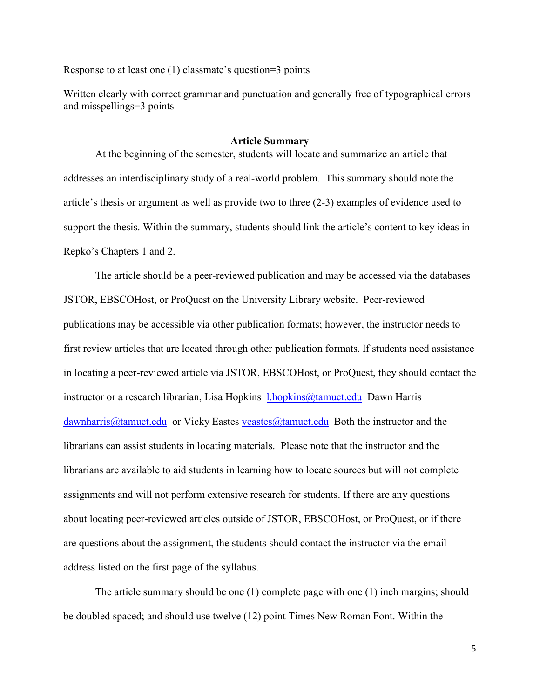Response to at least one (1) classmate's question=3 points

Written clearly with correct grammar and punctuation and generally free of typographical errors and misspellings=3 points

### **Article Summary**

At the beginning of the semester, students will locate and summarize an article that addresses an interdisciplinary study of a real-world problem. This summary should note the article's thesis or argument as well as provide two to three (2-3) examples of evidence used to support the thesis. Within the summary, students should link the article's content to key ideas in Repko's Chapters 1 and 2.

The article should be a peer-reviewed publication and may be accessed via the databases JSTOR, EBSCOHost, or ProQuest on the University Library website. Peer-reviewed publications may be accessible via other publication formats; however, the instructor needs to first review articles that are located through other publication formats. If students need assistance in locating a peer-reviewed article via JSTOR, EBSCOHost, or ProQuest, they should contact the instructor or a research librarian, Lisa Hopkins *[l.hopkins@tamuct.edu](mailto:l.hopkins@tamuct.edu)* Dawn Harris  $dawnharris@tamuct.edu$  or Vicky Eastes veastes  $@tamuct.edu$  Both the instructor and the librarians can assist students in locating materials. Please note that the instructor and the librarians are available to aid students in learning how to locate sources but will not complete assignments and will not perform extensive research for students. If there are any questions about locating peer-reviewed articles outside of JSTOR, EBSCOHost, or ProQuest, or if there are questions about the assignment, the students should contact the instructor via the email address listed on the first page of the syllabus.

The article summary should be one (1) complete page with one (1) inch margins; should be doubled spaced; and should use twelve (12) point Times New Roman Font. Within the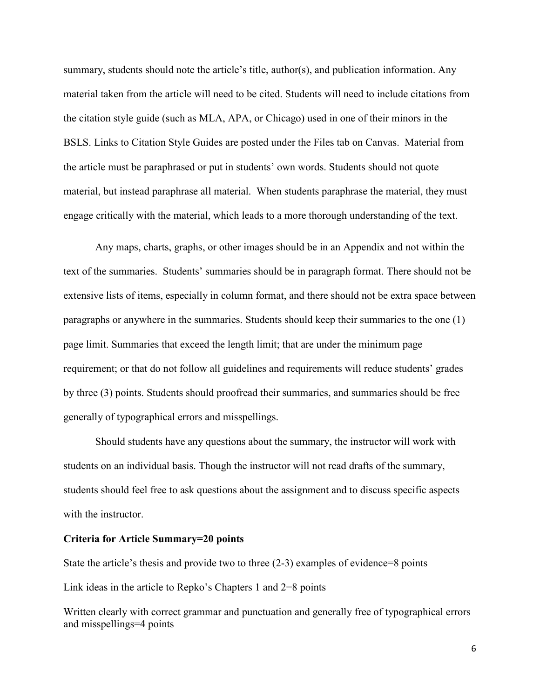summary, students should note the article's title, author(s), and publication information. Any material taken from the article will need to be cited. Students will need to include citations from the citation style guide (such as MLA, APA, or Chicago) used in one of their minors in the BSLS. Links to Citation Style Guides are posted under the Files tab on Canvas. Material from the article must be paraphrased or put in students' own words. Students should not quote material, but instead paraphrase all material. When students paraphrase the material, they must engage critically with the material, which leads to a more thorough understanding of the text.

Any maps, charts, graphs, or other images should be in an Appendix and not within the text of the summaries. Students' summaries should be in paragraph format. There should not be extensive lists of items, especially in column format, and there should not be extra space between paragraphs or anywhere in the summaries. Students should keep their summaries to the one (1) page limit. Summaries that exceed the length limit; that are under the minimum page requirement; or that do not follow all guidelines and requirements will reduce students' grades by three (3) points. Students should proofread their summaries, and summaries should be free generally of typographical errors and misspellings.

Should students have any questions about the summary, the instructor will work with students on an individual basis. Though the instructor will not read drafts of the summary, students should feel free to ask questions about the assignment and to discuss specific aspects with the instructor.

### **Criteria for Article Summary=20 points**

State the article's thesis and provide two to three (2-3) examples of evidence=8 points Link ideas in the article to Repko's Chapters 1 and 2=8 points

Written clearly with correct grammar and punctuation and generally free of typographical errors and misspellings=4 points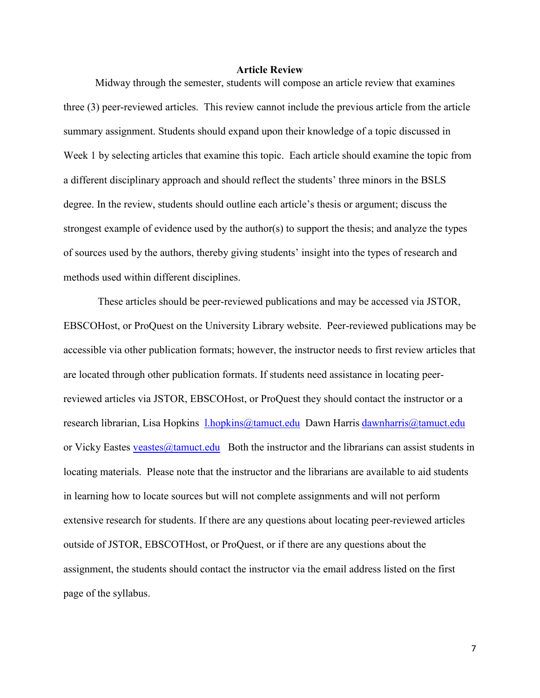### **Article Review**

Midway through the semester, students will compose an article review that examines three (3) peer-reviewed articles. This review cannot include the previous article from the article summary assignment. Students should expand upon their knowledge of a topic discussed in Week 1 by selecting articles that examine this topic. Each article should examine the topic from a different disciplinary approach and should reflect the students' three minors in the BSLS degree. In the review, students should outline each article's thesis or argument; discuss the strongest example of evidence used by the author(s) to support the thesis; and analyze the types of sources used by the authors, thereby giving students' insight into the types of research and methods used within different disciplines.

These articles should be peer-reviewed publications and may be accessed via JSTOR, EBSCOHost, or ProQuest on the University Library website. Peer-reviewed publications may be accessible via other publication formats; however, the instructor needs to first review articles that are located through other publication formats. If students need assistance in locating peerreviewed articles via JSTOR, EBSCOHost, or ProQuest they should contact the instructor or a research librarian, Lisa Hopkins 1.hopkins@tamuct.edu Dawn Harris dawnharris@tamuct.edu or Vicky Eastes veastes  $\omega$ tamuct.edu Both the instructor and the librarians can assist students in locating materials. Please note that the instructor and the librarians are available to aid students in learning how to locate sources but will not complete assignments and will not perform extensive research for students. If there are any questions about locating peer-reviewed articles outside of JSTOR, EBSCOTHost, or ProQuest, or if there are any questions about the assignment, the students should contact the instructor via the email address listed on the first page of the syllabus.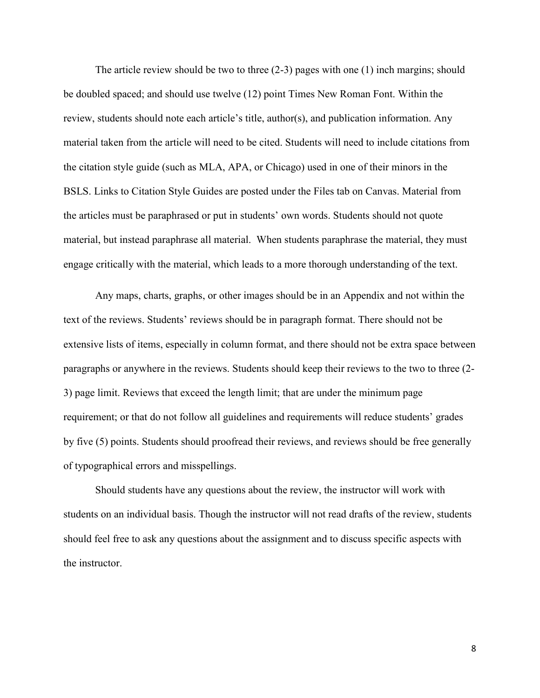The article review should be two to three (2-3) pages with one (1) inch margins; should be doubled spaced; and should use twelve (12) point Times New Roman Font. Within the review, students should note each article's title, author(s), and publication information. Any material taken from the article will need to be cited. Students will need to include citations from the citation style guide (such as MLA, APA, or Chicago) used in one of their minors in the BSLS. Links to Citation Style Guides are posted under the Files tab on Canvas. Material from the articles must be paraphrased or put in students' own words. Students should not quote material, but instead paraphrase all material. When students paraphrase the material, they must engage critically with the material, which leads to a more thorough understanding of the text.

Any maps, charts, graphs, or other images should be in an Appendix and not within the text of the reviews. Students' reviews should be in paragraph format. There should not be extensive lists of items, especially in column format, and there should not be extra space between paragraphs or anywhere in the reviews. Students should keep their reviews to the two to three (2- 3) page limit. Reviews that exceed the length limit; that are under the minimum page requirement; or that do not follow all guidelines and requirements will reduce students' grades by five (5) points. Students should proofread their reviews, and reviews should be free generally of typographical errors and misspellings.

Should students have any questions about the review, the instructor will work with students on an individual basis. Though the instructor will not read drafts of the review, students should feel free to ask any questions about the assignment and to discuss specific aspects with the instructor.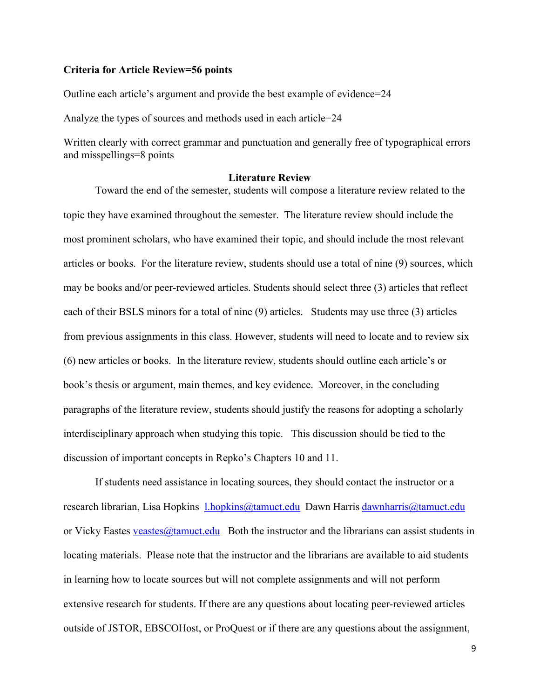#### **Criteria for Article Review=56 points**

Outline each article's argument and provide the best example of evidence=24

Analyze the types of sources and methods used in each article=24

Written clearly with correct grammar and punctuation and generally free of typographical errors and misspellings=8 points

### **Literature Review**

Toward the end of the semester, students will compose a literature review related to the topic they have examined throughout the semester. The literature review should include the most prominent scholars, who have examined their topic, and should include the most relevant articles or books. For the literature review, students should use a total of nine (9) sources, which may be books and/or peer-reviewed articles. Students should select three (3) articles that reflect each of their BSLS minors for a total of nine (9) articles. Students may use three (3) articles from previous assignments in this class. However, students will need to locate and to review six (6) new articles or books. In the literature review, students should outline each article's or book's thesis or argument, main themes, and key evidence. Moreover, in the concluding paragraphs of the literature review, students should justify the reasons for adopting a scholarly interdisciplinary approach when studying this topic. This discussion should be tied to the discussion of important concepts in Repko's Chapters 10 and 11.

If students need assistance in locating sources, they should contact the instructor or a research librarian, Lisa Hopkins [l.hopkins@tamuct.edu](mailto:l.hopkins@tamuct.edu) Dawn Harris [dawnharris@tamuct.edu](mailto:dawnharris@tamuct.edu)  or Vicky Eastes veastes  $\omega$ tamuct.edu Both the instructor and the librarians can assist students in locating materials. Please note that the instructor and the librarians are available to aid students in learning how to locate sources but will not complete assignments and will not perform extensive research for students. If there are any questions about locating peer-reviewed articles outside of JSTOR, EBSCOHost, or ProQuest or if there are any questions about the assignment,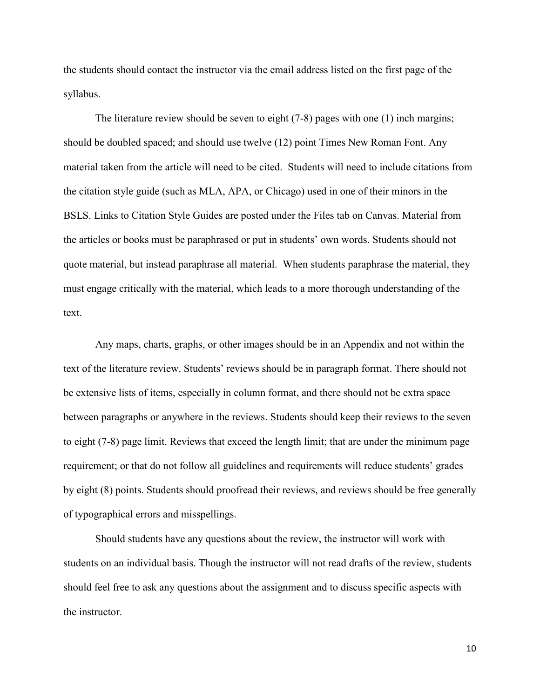the students should contact the instructor via the email address listed on the first page of the syllabus.

The literature review should be seven to eight (7-8) pages with one (1) inch margins; should be doubled spaced; and should use twelve (12) point Times New Roman Font. Any material taken from the article will need to be cited. Students will need to include citations from the citation style guide (such as MLA, APA, or Chicago) used in one of their minors in the BSLS. Links to Citation Style Guides are posted under the Files tab on Canvas. Material from the articles or books must be paraphrased or put in students' own words. Students should not quote material, but instead paraphrase all material. When students paraphrase the material, they must engage critically with the material, which leads to a more thorough understanding of the text.

Any maps, charts, graphs, or other images should be in an Appendix and not within the text of the literature review. Students' reviews should be in paragraph format. There should not be extensive lists of items, especially in column format, and there should not be extra space between paragraphs or anywhere in the reviews. Students should keep their reviews to the seven to eight (7-8) page limit. Reviews that exceed the length limit; that are under the minimum page requirement; or that do not follow all guidelines and requirements will reduce students' grades by eight (8) points. Students should proofread their reviews, and reviews should be free generally of typographical errors and misspellings.

Should students have any questions about the review, the instructor will work with students on an individual basis. Though the instructor will not read drafts of the review, students should feel free to ask any questions about the assignment and to discuss specific aspects with the instructor.

10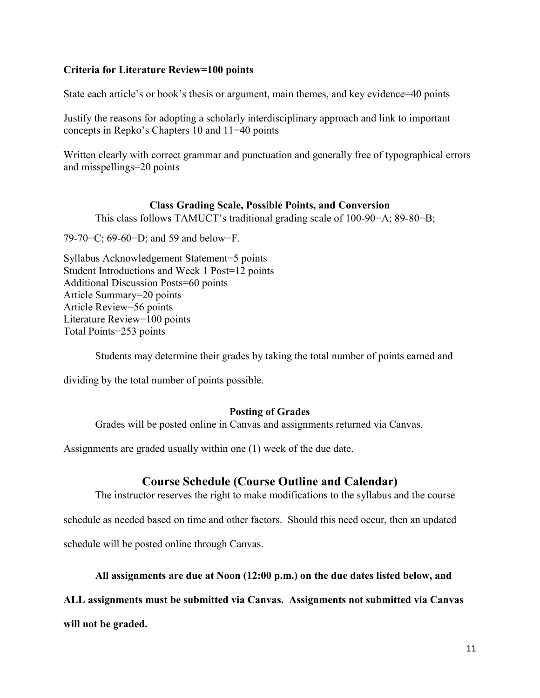## **Criteria for Literature Review=100 points**

State each article's or book's thesis or argument, main themes, and key evidence=40 points

Justify the reasons for adopting a scholarly interdisciplinary approach and link to important concepts in Repko's Chapters 10 and 11=40 points

Written clearly with correct grammar and punctuation and generally free of typographical errors and misspellings=20 points

## **Class Grading Scale, Possible Points, and Conversion**

This class follows TAMUCT's traditional grading scale of 100-90=A; 89-80=B;

79-70=C; 69-60=D; and 59 and below=F.

Syllabus Acknowledgement Statement=5 points Student Introductions and Week 1 Post=12 points Additional Discussion Posts=60 points Article Summary=20 points Article Review=56 points Literature Review=100 points Total Points=253 points

Students may determine their grades by taking the total number of points earned and

dividing by the total number of points possible.

## **Posting of Grades**

Grades will be posted online in Canvas and assignments returned via Canvas.

Assignments are graded usually within one (1) week of the due date.

## **Course Schedule (Course Outline and Calendar)**

The instructor reserves the right to make modifications to the syllabus and the course schedule as needed based on time and other factors. Should this need occur, then an updated

schedule will be posted online through Canvas.

## **All assignments are due at Noon (12:00 p.m.) on the due dates listed below, and**

## **ALL assignments must be submitted via Canvas. Assignments not submitted via Canvas**

**will not be graded.**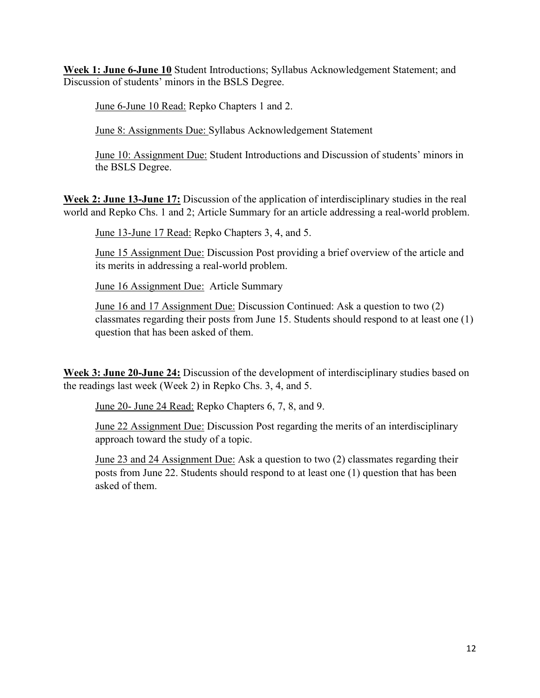**Week 1: June 6-June 10** Student Introductions; Syllabus Acknowledgement Statement; and Discussion of students' minors in the BSLS Degree.

June 6-June 10 Read: Repko Chapters 1 and 2.

June 8: Assignments Due: Syllabus Acknowledgement Statement

June 10: Assignment Due: Student Introductions and Discussion of students' minors in the BSLS Degree.

**Week 2: June 13-June 17:** Discussion of the application of interdisciplinary studies in the real world and Repko Chs. 1 and 2; Article Summary for an article addressing a real-world problem.

June 13-June 17 Read: Repko Chapters 3, 4, and 5.

June 15 Assignment Due: Discussion Post providing a brief overview of the article and its merits in addressing a real-world problem.

June 16 Assignment Due: Article Summary

June 16 and 17 Assignment Due: Discussion Continued: Ask a question to two (2) classmates regarding their posts from June 15. Students should respond to at least one (1) question that has been asked of them.

**Week 3: June 20-June 24:** Discussion of the development of interdisciplinary studies based on the readings last week (Week 2) in Repko Chs. 3, 4, and 5.

June 20- June 24 Read: Repko Chapters 6, 7, 8, and 9.

June 22 Assignment Due: Discussion Post regarding the merits of an interdisciplinary approach toward the study of a topic.

June 23 and 24 Assignment Due: Ask a question to two (2) classmates regarding their posts from June 22. Students should respond to at least one (1) question that has been asked of them.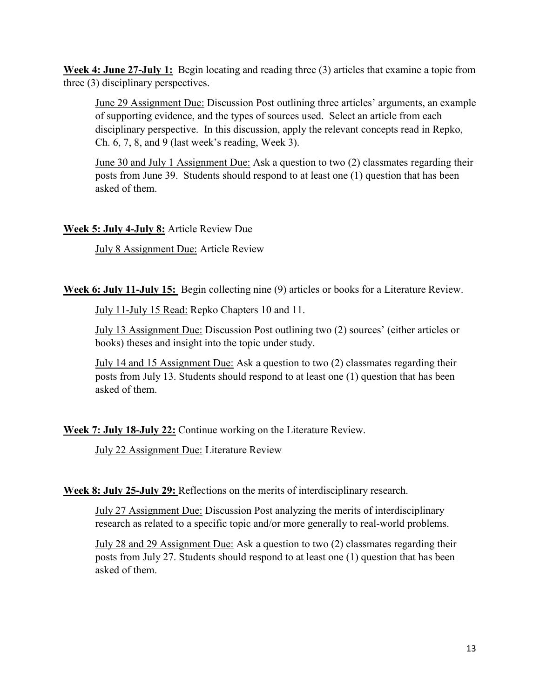**Week 4: June 27-July 1:** Begin locating and reading three (3) articles that examine a topic from three (3) disciplinary perspectives.

June 29 Assignment Due: Discussion Post outlining three articles' arguments, an example of supporting evidence, and the types of sources used. Select an article from each disciplinary perspective. In this discussion, apply the relevant concepts read in Repko, Ch. 6, 7, 8, and 9 (last week's reading, Week 3).

June 30 and July 1 Assignment Due: Ask a question to two (2) classmates regarding their posts from June 39. Students should respond to at least one (1) question that has been asked of them.

**Week 5: July 4-July 8:** Article Review Due

July 8 Assignment Due: Article Review

**Week 6: July 11-July 15:** Begin collecting nine (9) articles or books for a Literature Review.

July 11-July 15 Read: Repko Chapters 10 and 11.

July 13 Assignment Due: Discussion Post outlining two (2) sources' (either articles or books) theses and insight into the topic under study.

July 14 and 15 Assignment Due: Ask a question to two (2) classmates regarding their posts from July 13. Students should respond to at least one (1) question that has been asked of them.

**Week 7: July 18-July 22:** Continue working on the Literature Review.

July 22 Assignment Due: Literature Review

**Week 8: July 25-July 29:** Reflections on the merits of interdisciplinary research.

July 27 Assignment Due: Discussion Post analyzing the merits of interdisciplinary research as related to a specific topic and/or more generally to real-world problems.

July 28 and 29 Assignment Due: Ask a question to two (2) classmates regarding their posts from July 27. Students should respond to at least one (1) question that has been asked of them.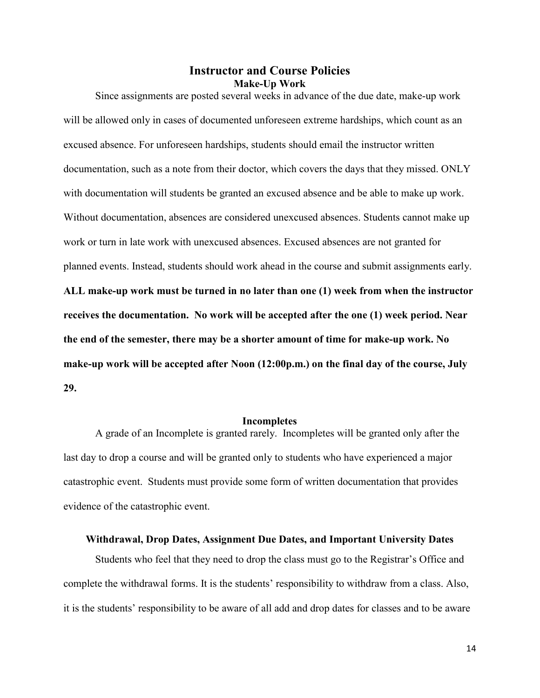## **Instructor and Course Policies Make-Up Work**

Since assignments are posted several weeks in advance of the due date, make-up work will be allowed only in cases of documented unforeseen extreme hardships, which count as an excused absence. For unforeseen hardships, students should email the instructor written documentation, such as a note from their doctor, which covers the days that they missed. ONLY with documentation will students be granted an excused absence and be able to make up work. Without documentation, absences are considered unexcused absences. Students cannot make up work or turn in late work with unexcused absences. Excused absences are not granted for planned events. Instead, students should work ahead in the course and submit assignments early. **ALL make-up work must be turned in no later than one (1) week from when the instructor receives the documentation. No work will be accepted after the one (1) week period. Near the end of the semester, there may be a shorter amount of time for make-up work. No make-up work will be accepted after Noon (12:00p.m.) on the final day of the course, July 29.** 

#### **Incompletes**

A grade of an Incomplete is granted rarely. Incompletes will be granted only after the last day to drop a course and will be granted only to students who have experienced a major catastrophic event. Students must provide some form of written documentation that provides evidence of the catastrophic event.

### **Withdrawal, Drop Dates, Assignment Due Dates, and Important University Dates**

Students who feel that they need to drop the class must go to the Registrar's Office and complete the withdrawal forms. It is the students' responsibility to withdraw from a class. Also, it is the students' responsibility to be aware of all add and drop dates for classes and to be aware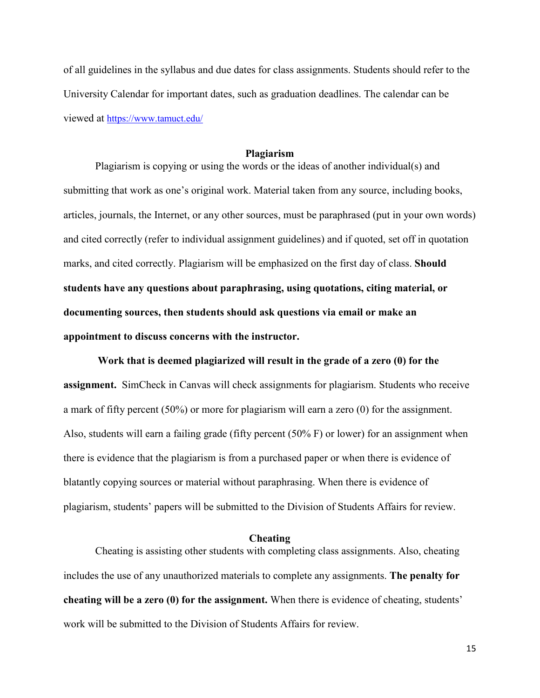of all guidelines in the syllabus and due dates for class assignments. Students should refer to the University Calendar for important dates, such as graduation deadlines. The calendar can be viewed at<https://www.tamuct.edu/>

### **Plagiarism**

Plagiarism is copying or using the words or the ideas of another individual(s) and submitting that work as one's original work. Material taken from any source, including books, articles, journals, the Internet, or any other sources, must be paraphrased (put in your own words) and cited correctly (refer to individual assignment guidelines) and if quoted, set off in quotation marks, and cited correctly. Plagiarism will be emphasized on the first day of class. **Should students have any questions about paraphrasing, using quotations, citing material, or documenting sources, then students should ask questions via email or make an appointment to discuss concerns with the instructor.** 

**Work that is deemed plagiarized will result in the grade of a zero (0) for the assignment.** SimCheck in Canvas will check assignments for plagiarism. Students who receive a mark of fifty percent (50%) or more for plagiarism will earn a zero (0) for the assignment. Also, students will earn a failing grade (fifty percent (50% F) or lower) for an assignment when there is evidence that the plagiarism is from a purchased paper or when there is evidence of blatantly copying sources or material without paraphrasing. When there is evidence of plagiarism, students' papers will be submitted to the Division of Students Affairs for review.

### **Cheating**

Cheating is assisting other students with completing class assignments. Also, cheating includes the use of any unauthorized materials to complete any assignments. **The penalty for cheating will be a zero (0) for the assignment.** When there is evidence of cheating, students' work will be submitted to the Division of Students Affairs for review.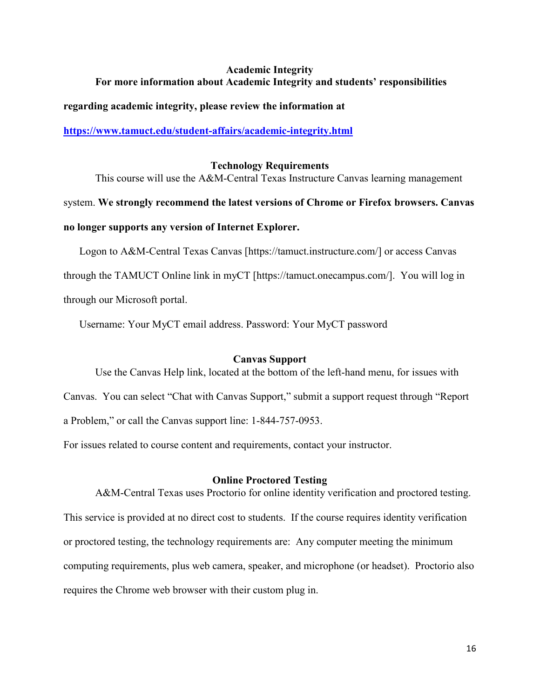## **Academic Integrity For more information about Academic Integrity and students' responsibilities**

**regarding academic integrity, please review the information at** 

**<https://www.tamuct.edu/student-affairs/academic-integrity.html>**

## **Technology Requirements**

This course will use the A&M-Central Texas Instructure Canvas learning management

system. **We strongly recommend the latest versions of Chrome or Firefox browsers. Canvas no longer supports any version of Internet Explorer.**

Logon to A&M-Central Texas Canvas [https://tamuct.instructure.com/] or access Canvas through the TAMUCT Online link in myCT [https://tamuct.onecampus.com/]. You will log in through our Microsoft portal.

Username: Your MyCT email address. Password: Your MyCT password

## **Canvas Support**

Use the Canvas Help link, located at the bottom of the left-hand menu, for issues with Canvas. You can select "Chat with Canvas Support," submit a support request through "Report a Problem," or call the Canvas support line: 1-844-757-0953.

For issues related to course content and requirements, contact your instructor.

## **Online Proctored Testing**

A&M-Central Texas uses Proctorio for online identity verification and proctored testing. This service is provided at no direct cost to students. If the course requires identity verification or proctored testing, the technology requirements are: Any computer meeting the minimum computing requirements, plus web camera, speaker, and microphone (or headset). Proctorio also requires the Chrome web browser with their custom plug in.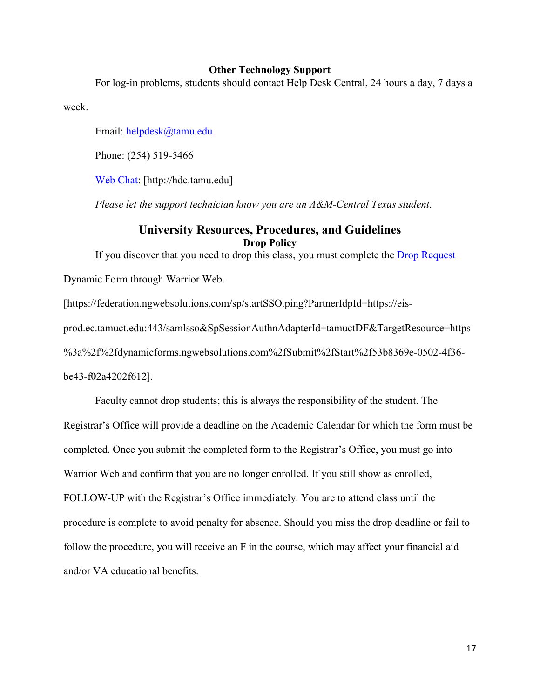### **Other Technology Support**

For log-in problems, students should contact Help Desk Central, 24 hours a day, 7 days a

week.

Email: [helpdesk@tamu.edu](mailto:helpdesk@tamu.edu)

Phone: (254) 519-5466

[Web Chat:](http://hdc.tamu.edu/) [http://hdc.tamu.edu]

*Please let the support technician know you are an A&M-Central Texas student.*

## **University Resources, Procedures, and Guidelines Drop Policy**

If you discover that you need to drop this class, you must complete the [Drop Request](https://federation.ngwebsolutions.com/sp/startSSO.ping?PartnerIdpId=https://eis-prod.ec.tamuct.edu:443/samlsso&SpSessionAuthnAdapterId=tamuctDF&TargetResource=https%3a%2f%2fdynamicforms.ngwebsolutions.com%2fSubmit%2fStart%2f53b8369e-0502-4f36-be43-f02a4202f612)

Dynamic Form through Warrior Web.

[https://federation.ngwebsolutions.com/sp/startSSO.ping?PartnerIdpId=https://eis-

prod.ec.tamuct.edu:443/samlsso&SpSessionAuthnAdapterId=tamuctDF&TargetResource=https

%3a%2f%2fdynamicforms.ngwebsolutions.com%2fSubmit%2fStart%2f53b8369e-0502-4f36-

be43-f02a4202f612].

Faculty cannot drop students; this is always the responsibility of the student. The Registrar's Office will provide a deadline on the Academic Calendar for which the form must be completed. Once you submit the completed form to the Registrar's Office, you must go into Warrior Web and confirm that you are no longer enrolled. If you still show as enrolled, FOLLOW-UP with the Registrar's Office immediately. You are to attend class until the procedure is complete to avoid penalty for absence. Should you miss the drop deadline or fail to follow the procedure, you will receive an F in the course, which may affect your financial aid and/or VA educational benefits.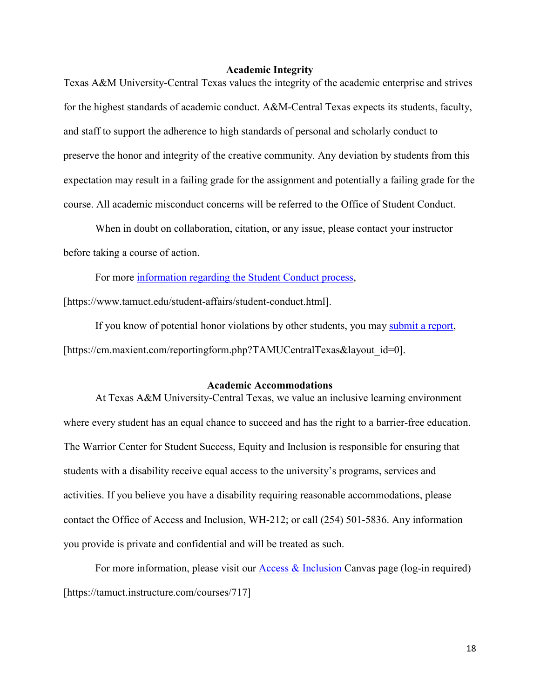### **Academic Integrity**

Texas A&M University-Central Texas values the integrity of the academic enterprise and strives for the highest standards of academic conduct. A&M-Central Texas expects its students, faculty, and staff to support the adherence to high standards of personal and scholarly conduct to preserve the honor and integrity of the creative community. Any deviation by students from this expectation may result in a failing grade for the assignment and potentially a failing grade for the course. All academic misconduct concerns will be referred to the Office of Student Conduct.

When in doubt on collaboration, citation, or any issue, please contact your instructor before taking a course of action.

For more [information](https://nam04.safelinks.protection.outlook.com/?url=https%3A%2F%2Fwww.tamuct.edu%2Fstudent-affairs%2Fstudent-conduct.html&data=04%7C01%7Clisa.bunkowski%40tamuct.edu%7Ccfb6e486f24745f53e1a08d910055cb2%7C9eed4e3000f744849ff193ad8005acec%7C0%7C0%7C637558437485252160%7CUnknown%7CTWFpbGZsb3d8eyJWIjoiMC4wLjAwMDAiLCJQIjoiV2luMzIiLCJBTiI6Ik1haWwiLCJXVCI6Mn0%3D%7C1000&sdata=yjftDEVHvLX%2FhM%2FcFU0B99krV1RgEWR%2BJ%2BhvtoR6TYk%3D&reserved=0) regarding the Student Conduct process,

[https://www.tamuct.edu/student-affairs/student-conduct.html].

If you know of potential honor violations by other students, you may [submit](https://nam04.safelinks.protection.outlook.com/?url=https%3A%2F%2Fcm.maxient.com%2Freportingform.php%3FTAMUCentralTexas%26layout_id%3D0&data=04%7C01%7Clisa.bunkowski%40tamuct.edu%7Ccfb6e486f24745f53e1a08d910055cb2%7C9eed4e3000f744849ff193ad8005acec%7C0%7C0%7C637558437485262157%7CUnknown%7CTWFpbGZsb3d8eyJWIjoiMC4wLjAwMDAiLCJQIjoiV2luMzIiLCJBTiI6Ik1haWwiLCJXVCI6Mn0%3D%7C1000&sdata=CXGkOa6uPDPX1IMZ87z3aZDq2n91xfHKu4MMS43Ejjk%3D&reserved=0) a report, [https://cm.maxient.com/reportingform.php?TAMUCentralTexas&layout\_id=0].

#### **Academic Accommodations**

At Texas A&M University-Central Texas, we value an inclusive learning environment where every student has an equal chance to succeed and has the right to a barrier-free education. The Warrior Center for Student Success, Equity and Inclusion is responsible for ensuring that students with a disability receive equal access to the university's programs, services and activities. If you believe you have a disability requiring reasonable accommodations, please contact the Office of Access and Inclusion, WH-212; or call (254) 501-5836. Any information you provide is private and confidential and will be treated as such.

For more information, please visit our [Access & Inclusion](https://tamuct.instructure.com/courses/717) Canvas page (log-in required) [https://tamuct.instructure.com/courses/717]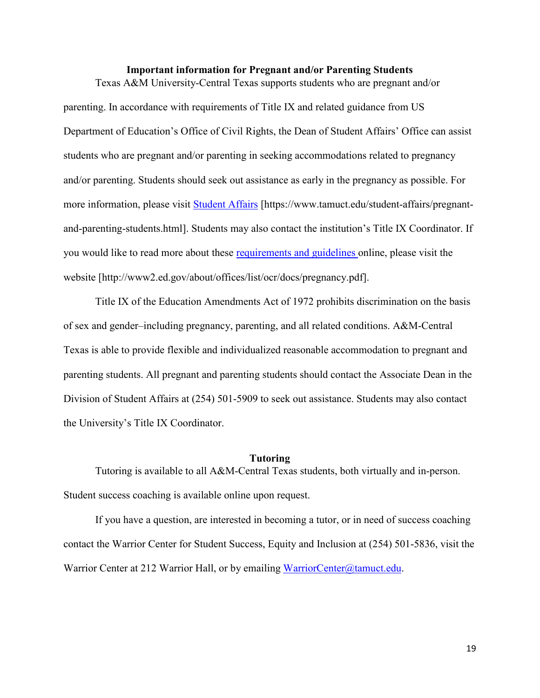## **Important information for Pregnant and/or Parenting Students** Texas A&M University-Central Texas supports students who are pregnant and/or

parenting. In accordance with requirements of Title IX and related guidance from US Department of Education's Office of Civil Rights, the Dean of Student Affairs' Office can assist students who are pregnant and/or parenting in seeking accommodations related to pregnancy and/or parenting. Students should seek out assistance as early in the pregnancy as possible. For more information, please visit [Student Affairs](https://www.tamuct.edu/student-affairs/pregnant-and-parenting-students.html) [https://www.tamuct.edu/student-affairs/pregnantand-parenting-students.html]. Students may also contact the institution's Title IX Coordinator. If you would like to read more about these [requirements and guidelines](http://www2.ed.gov/about/offices/list/ocr/docs/pregnancy.pdf) online, please visit the website [http://www2.ed.gov/about/offices/list/ocr/docs/pregnancy.pdf].

Title IX of the Education Amendments Act of 1972 prohibits discrimination on the basis of sex and gender–including pregnancy, parenting, and all related conditions. A&M-Central Texas is able to provide flexible and individualized reasonable accommodation to pregnant and parenting students. All pregnant and parenting students should contact the Associate Dean in the Division of Student Affairs at (254) 501-5909 to seek out assistance. Students may also contact the University's Title IX Coordinator.

### **Tutoring**

Tutoring is available to all A&M-Central Texas students, both virtually and in-person. Student success coaching is available online upon request.

If you have a question, are interested in becoming a tutor, or in need of success coaching contact the Warrior Center for Student Success, Equity and Inclusion at (254) 501-5836, visit the Warrior Center at 212 Warrior Hall, or by emailing [WarriorCenter@tamuct.edu.](mailto:WarriorCenter@tamuct.edu)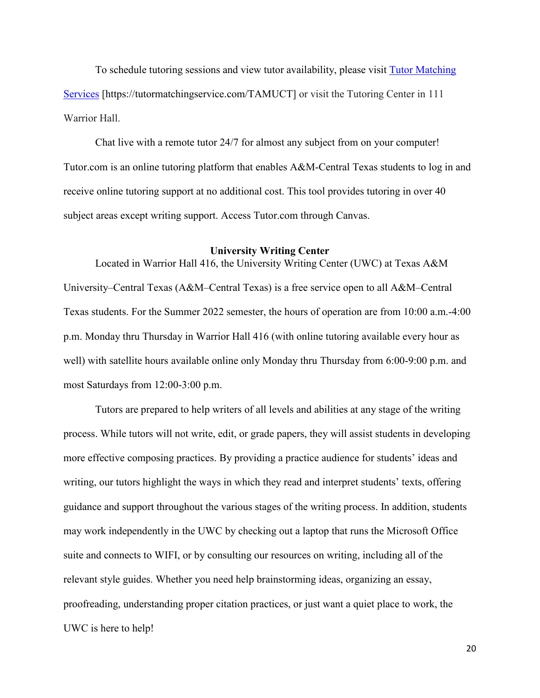To schedule tutoring sessions and view tutor availability, please visit Tutor [Matching](https://tutormatchingservice.com/TAMUCT) [Services](https://tutormatchingservice.com/TAMUCT) [https://tutormatchingservice.com/TAMUCT] or visit the Tutoring Center in 111 Warrior Hall.

Chat live with a remote tutor 24/7 for almost any subject from on your computer! Tutor.com is an online tutoring platform that enables A&M-Central Texas students to log in and receive online tutoring support at no additional cost. This tool provides tutoring in over 40 subject areas except writing support. Access Tutor.com through Canvas.

### **University Writing Center**

Located in Warrior Hall 416, the University Writing Center (UWC) at Texas A&M University–Central Texas (A&M–Central Texas) is a free service open to all A&M–Central Texas students. For the Summer 2022 semester, the hours of operation are from 10:00 a.m.-4:00 p.m. Monday thru Thursday in Warrior Hall 416 (with online tutoring available every hour as well) with satellite hours available online only Monday thru Thursday from 6:00-9:00 p.m. and most Saturdays from 12:00-3:00 p.m.

Tutors are prepared to help writers of all levels and abilities at any stage of the writing process. While tutors will not write, edit, or grade papers, they will assist students in developing more effective composing practices. By providing a practice audience for students' ideas and writing, our tutors highlight the ways in which they read and interpret students' texts, offering guidance and support throughout the various stages of the writing process. In addition, students may work independently in the UWC by checking out a laptop that runs the Microsoft Office suite and connects to WIFI, or by consulting our resources on writing, including all of the relevant style guides. Whether you need help brainstorming ideas, organizing an essay, proofreading, understanding proper citation practices, or just want a quiet place to work, the UWC is here to help!

20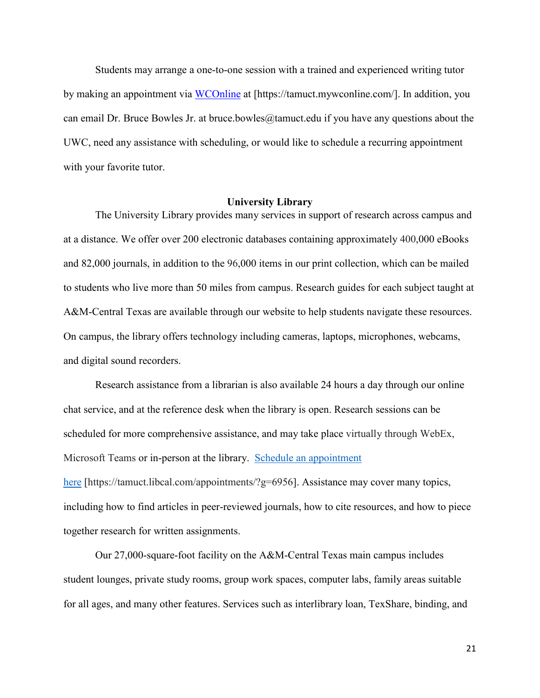Students may arrange a one-to-one session with a trained and experienced writing tutor by making an appointment via [WCOnline](https://tamuct.mywconline.com/) at [https://tamuct.mywconline.com/]. In addition, you can email Dr. Bruce Bowles Jr. at bruce.bowles  $@$ tamuct.edu if you have any questions about the UWC, need any assistance with scheduling, or would like to schedule a recurring appointment with your favorite tutor.

#### **University Library**

The University Library provides many services in support of research across campus and at a distance. We offer over 200 electronic databases containing approximately 400,000 eBooks and 82,000 journals, in addition to the 96,000 items in our print collection, which can be mailed to students who live more than 50 miles from campus. Research guides for each subject taught at A&M-Central Texas are available through our website to help students navigate these resources. On campus, the library offers technology including cameras, laptops, microphones, webcams, and digital sound recorders.

Research assistance from a librarian is also available 24 hours a day through our online chat service, and at the reference desk when the library is open. Research sessions can be scheduled for more comprehensive assistance, and may take place virtually through WebEx, Microsoft Teams or in-person at the library. Schedule an [appointment](https://nam04.safelinks.protection.outlook.com/?url=https%3A%2F%2Ftamuct.libcal.com%2Fappointments%2F%3Fg%3D6956&data=04%7C01%7Clisa.bunkowski%40tamuct.edu%7Cde2c07d9f5804f09518008d9ab7ba6ff%7C9eed4e3000f744849ff193ad8005acec%7C0%7C0%7C637729369835011558%7CUnknown%7CTWFpbGZsb3d8eyJWIjoiMC4wLjAwMDAiLCJQIjoiV2luMzIiLCJBTiI6Ik1haWwiLCJXVCI6Mn0%3D%7C3000&sdata=KhtjgRSAw9aq%2FoBsB6wyu8b7PSuGN5EGPypzr3Ty2No%3D&reserved=0) [here](https://nam04.safelinks.protection.outlook.com/?url=https%3A%2F%2Ftamuct.libcal.com%2Fappointments%2F%3Fg%3D6956&data=04%7C01%7Clisa.bunkowski%40tamuct.edu%7Cde2c07d9f5804f09518008d9ab7ba6ff%7C9eed4e3000f744849ff193ad8005acec%7C0%7C0%7C637729369835011558%7CUnknown%7CTWFpbGZsb3d8eyJWIjoiMC4wLjAwMDAiLCJQIjoiV2luMzIiLCJBTiI6Ik1haWwiLCJXVCI6Mn0%3D%7C3000&sdata=KhtjgRSAw9aq%2FoBsB6wyu8b7PSuGN5EGPypzr3Ty2No%3D&reserved=0) [https://tamuct.libcal.com/appointments/?g=6956]. Assistance may cover many topics, including how to find articles in peer-reviewed journals, how to cite resources, and how to piece together research for written assignments.

Our 27,000-square-foot facility on the A&M-Central Texas main campus includes student lounges, private study rooms, group work spaces, computer labs, family areas suitable for all ages, and many other features. Services such as interlibrary loan, TexShare, binding, and